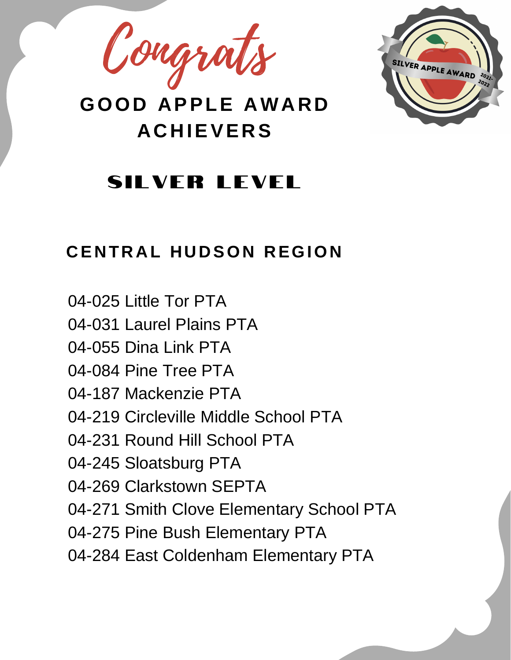Congrats



#### **SILVER LEVEL**

#### **C E N T R A L H U D SON R EGION**

- 04-025 Little Tor PTA
- 04-031 Laurel Plains PTA
- 04-055 Dina Link PTA
- 04-084 Pine Tree PTA
- 04-187 Mackenzie PTA
- 04-219 Circleville Middle School PTA
- 04-231 Round Hill School PTA
- 04-245 Sloatsburg PTA
- 04-269 Clarkstown SEPTA
- 04-271 Smith Clove Elementary School PTA
- 04-275 Pine Bush Elementary PTA
- 04-284 East Coldenham Elementary PTA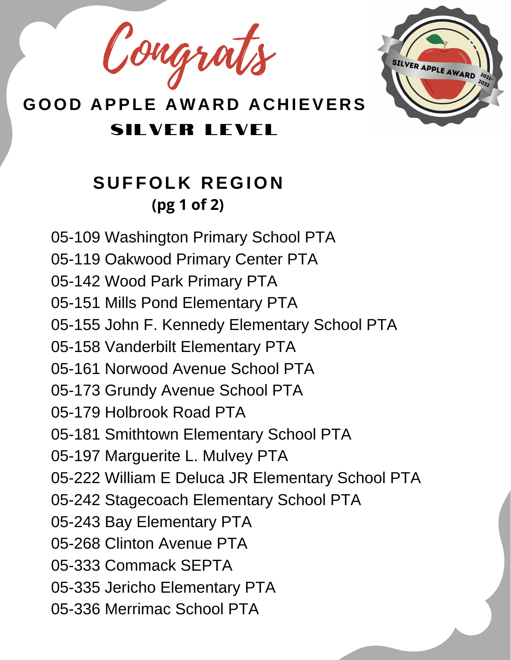Congrats



#### **S U FFOL K R EGION (pg 1 of 2)**

05-109 Washington Primary School PTA 05-119 Oakwood Primary Center PTA 05-142 Wood Park Primary PTA 05-151 Mills Pond Elementary PTA 05-155 John F. Kennedy Elementary School PTA 05-158 Vanderbilt Elementary PTA 05-161 Norwood Avenue School PTA 05-173 Grundy Avenue School PTA 05-179 Holbrook Road PTA 05-181 Smithtown Elementary School PTA 05-197 Marguerite L. Mulvey PTA 05-222 William E Deluca JR Elementary School PTA 05-242 Stagecoach Elementary School PTA 05-243 Bay Elementary PTA 05-268 Clinton Avenue PTA 05-333 Commack SEPTA 05-335 Jericho Elementary PTA 05-336 Merrimac School PTA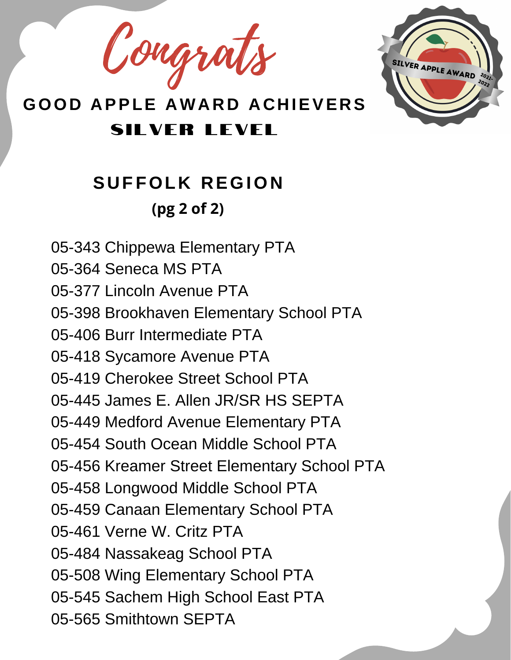Congrats



# **S U FFOL K R EGION (pg 2 of 2)**

- 05-343 Chippewa Elementary PTA
- 05-364 Seneca MS PTA
- 05-377 Lincoln Avenue PTA
- 05-398 Brookhaven Elementary School PTA
- 05-406 Burr Intermediate PTA
- 05-418 Sycamore Avenue PTA
- 05-419 Cherokee Street School PTA
- 05-445 James E. Allen JR/SR HS SEPTA
- 05-449 Medford Avenue Elementary PTA
- 05-454 South Ocean Middle School PTA
- 05-456 Kreamer Street Elementary School PTA
- 05-458 Longwood Middle School PTA
- 05-459 Canaan Elementary School PTA
- 05-461 Verne W. Critz PTA
- 05-484 Nassakeag School PTA
- 05-508 Wing Elementary School PTA
- 05-545 Sachem High School East PTA
- 05-565 Smithtown SEPTA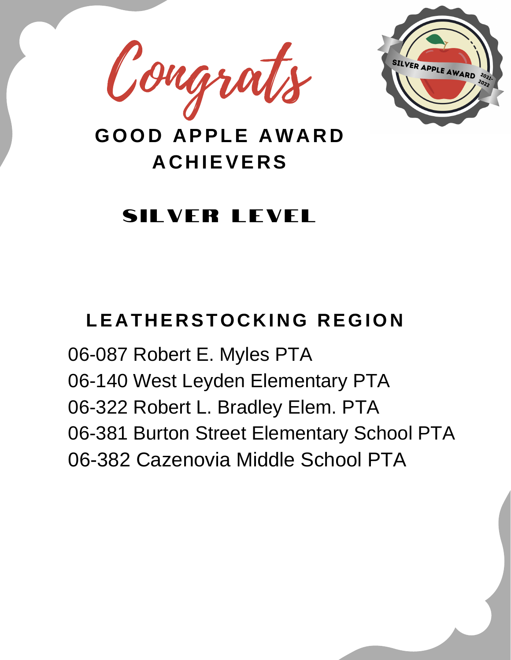



# **SILVER LEVEL**

# **LE A T H E R STOC K I NG R EGION**

06-087 Robert E. Myles PTA 06-140 West Leyden Elementary PTA 06-322 Robert L. Bradley Elem. PTA 06-381 Burton Street Elementary School PTA 06-382 Cazenovia Middle School PTA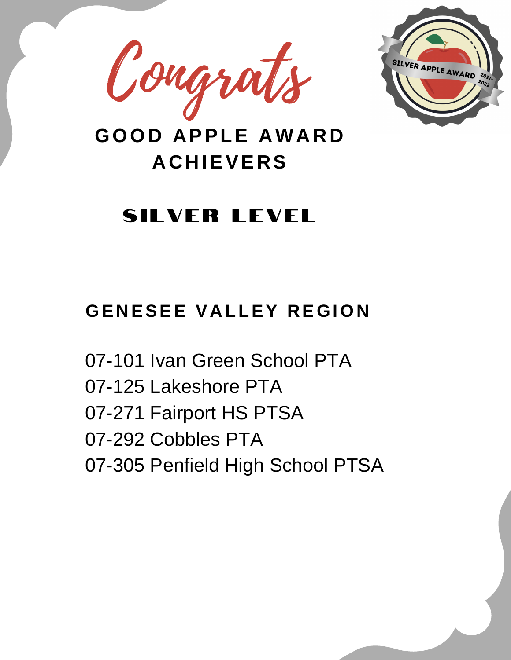



# SILVER LEVEL

#### **GE N ESEE V A LLEY R EGION**

07-101 Ivan Green School PTA 07-125 Lakeshore PTA 07-271 Fairport HS PTSA 07-292 Cobbles PTA 07-305 Penfield High School PTSA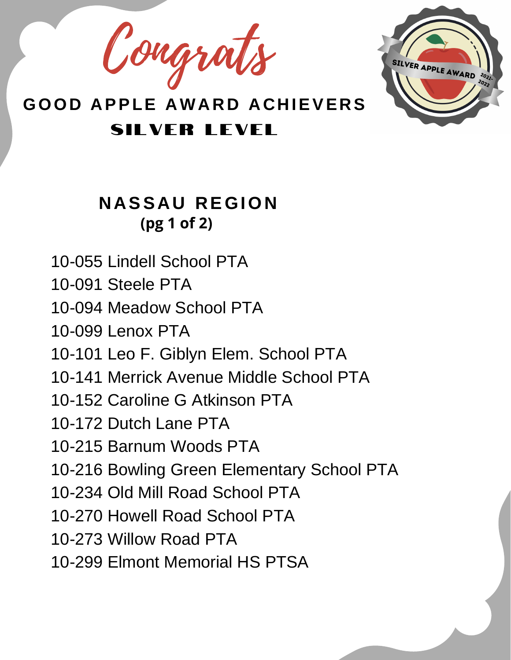Congrat



#### **N A SS A U R EGION (pg 1 of 2)**

10-055 Lindell School PTA

10-091 Steele PTA

10-094 Meadow School PTA

10-099 Lenox PTA

10-101 Leo F. Giblyn Elem. School PTA

10-141 Merrick Avenue Middle School PTA

10-152 Caroline G Atkinson PTA

10-172 Dutch Lane PTA

10-215 Barnum Woods PTA

10-216 Bowling Green Elementary School PTA

10-234 Old Mill Road School PTA

10-270 Howell Road School PTA

10-273 Willow Road PTA

10-299 Elmont Memorial HS PTSA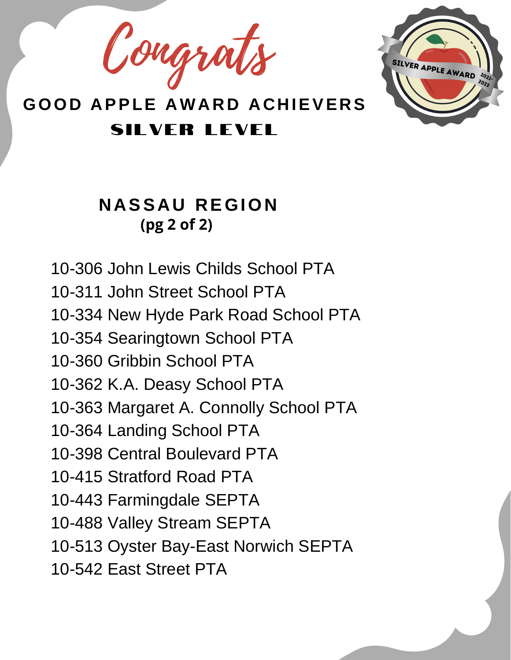Congrats



#### **N A SS A U R EGION (pg 2 of 2)**

10-306 John Lewis Childs School PTA 10-311 John Street School PTA 10-334 New Hyde Park Road School PTA 10-354 Searingtown School PTA 10-360 Gribbin School PTA 10-362 K.A. Deasy School PTA 10-363 Margaret A. Connolly School PTA 10-364 Landing School PTA 10-398 Central Boulevard PTA 10-415 Stratford Road PTA 10-443 Farmingdale SEPTA 10-488 Valley Stream SEPTA 10-513 Oyster Bay-East Norwich SEPTA 10-542 East Street PTA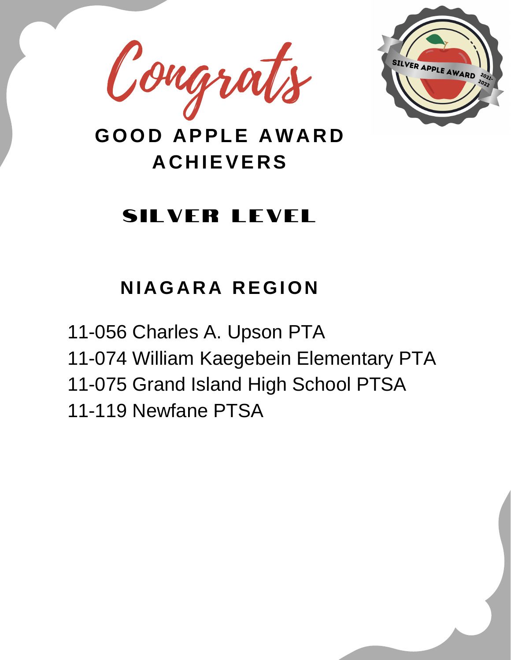



# SILVER LEVEL

# **N I AGA R A R EGION**

11-056 Charles A. Upson PTA 11-074 William Kaegebein Elementary PTA 11-075 Grand Island High School PTSA 11-119 Newfane PTSA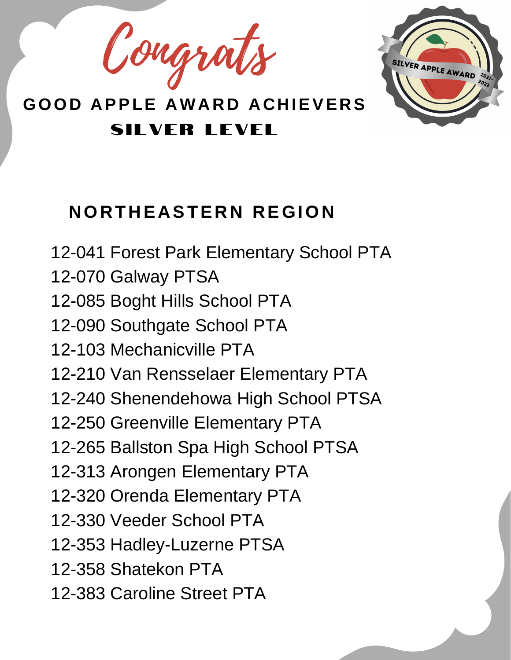Congrat



### **NOR T H E A STE R N R EGION**

12-041 Forest Park Elementary School PTA 12-070 Galway PTSA 12-085 Boght Hills School PTA 12-090 Southgate School PTA 12-103 Mechanicville PTA 12-210 Van Rensselaer Elementary PTA 12-240 Shenendehowa High School PTSA 12-250 Greenville Elementary PTA 12-265 Ballston Spa High School PTSA 12-313 Arongen Elementary PTA 12-320 Orenda Elementary PTA 12-330 Veeder School PTA 12-353 Hadley-Luzerne PTSA 12-358 Shatekon PTA 12-383 Caroline Street PTA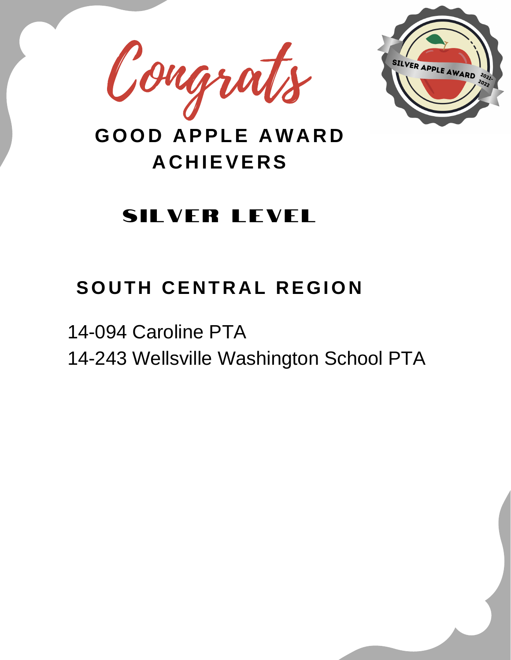



### SILVER LEVEL

#### $S$  **OUTH CENTRAL REGION**

14-094 Caroline PTA 14-243 Wellsville Washington School PTA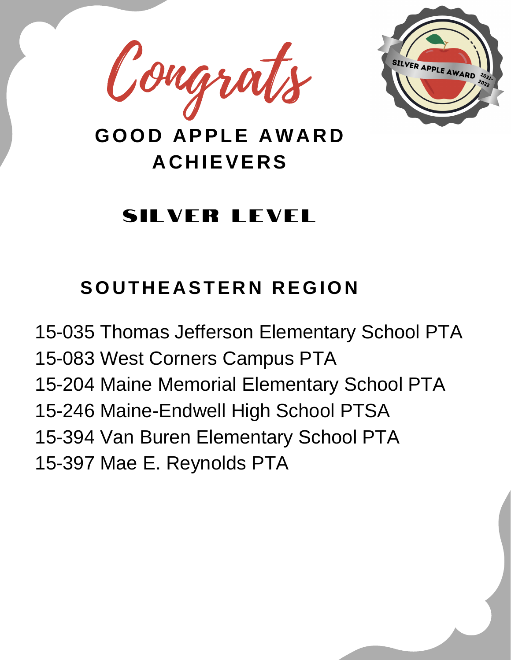



### SILVER LEVEL

### $S$  **OUTHEASTERN REGION**

15-035 Thomas Jefferson Elementary School PTA 15-083 West Corners Campus PTA 15-204 Maine Memorial Elementary School PTA 15-246 Maine-Endwell High School PTSA 15-394 Van Buren Elementary School PTA 15-397 Mae E. Reynolds PTA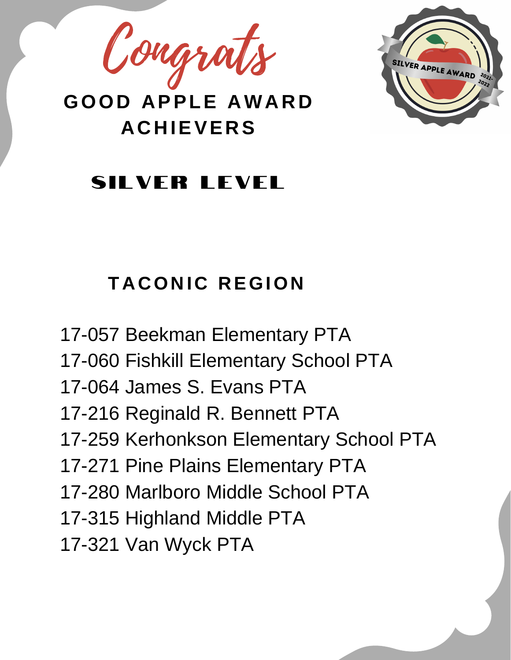Congrats



### SII VER LEVEL

# **T A CON I C R EGION**

17-057 Beekman Elementary PTA 17-060 Fishkill Elementary School PTA 17-064 James S. Evans PTA 17-216 Reginald R. Bennett PTA 17-259 Kerhonkson Elementary School PTA 17-271 Pine Plains Elementary PTA 17-280 Marlboro Middle School PTA 17-315 Highland Middle PTA 17-321 Van Wyck PTA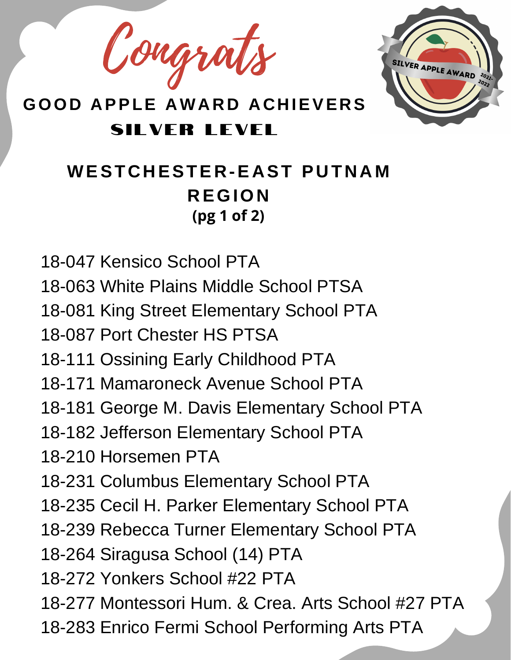Congrats



#### **WEST C H ESTE R -E A ST P U T N A M R EGION (pg 1 of 2)**

18-047 Kensico School PTA

18-063 White Plains Middle School PTSA

18-081 King Street Elementary School PTA

18-087 Port Chester HS PTSA

18-111 Ossining Early Childhood PTA

18-171 Mamaroneck Avenue School PTA

18-181 George M. Davis Elementary School PTA

18-182 Jefferson Elementary School PTA

18-210 Horsemen PTA

18-231 Columbus Elementary School PTA

18-235 Cecil H. Parker Elementary School PTA

18-239 Rebecca Turner Elementary School PTA

18-264 Siragusa School (14) PTA

18-272 Yonkers School #22 PTA

18-277 Montessori Hum. & Crea. Arts School #27 PTA

18-283 Enrico Fermi School Performing Arts PTA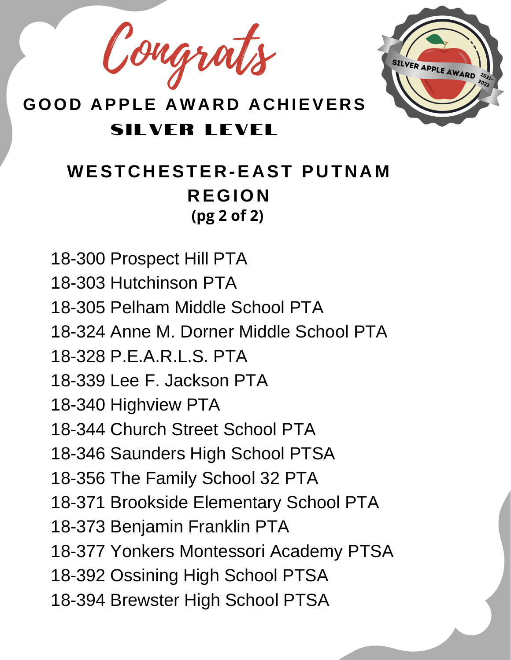Congrat



SII VER LEVEL

#### **WEST C H ESTE R -E A ST P U T N A M R EGION (pg 2 of 2)**

18-300 Prospect Hill PTA 18-303 Hutchinson PTA 18-305 Pelham Middle School PTA 18-324 Anne M. Dorner Middle School PTA 18-328 P.E.A.R.L.S. PTA 18-339 Lee F. Jackson PTA 18-340 Highview PTA 18-344 Church Street School PTA 18-346 Saunders High School PTSA 18-356 The Family School 32 PTA 18-371 Brookside Elementary School PTA 18-373 Benjamin Franklin PTA 18-377 Yonkers Montessori Academy PTSA 18-392 Ossining High School PTSA 18-394 Brewster High School PTSA